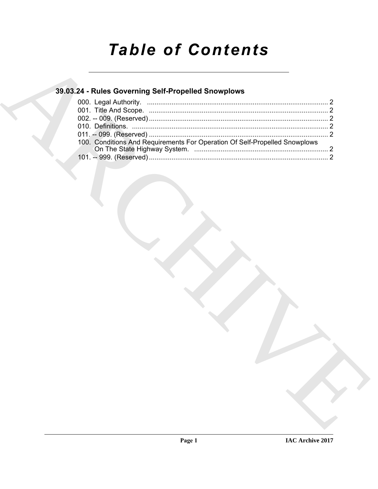# **Table of Contents**

### 39.03.24 - Rules Governing Self-Propelled Snowplows

| 100. Conditions And Requirements For Operation Of Self-Propelled Snowplows |  |
|----------------------------------------------------------------------------|--|
|                                                                            |  |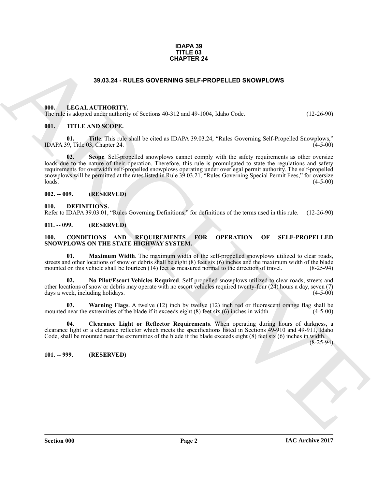#### **IDAPA 39 TITLE 03 CHAPTER 24**

#### **39.03.24 - RULES GOVERNING SELF-PROPELLED SNOWPLOWS**

#### <span id="page-1-1"></span><span id="page-1-0"></span>**000. LEGAL AUTHORITY.**

The rule is adopted under authority of Sections 40-312 and 49-1004, Idaho Code. (12-26-90)

#### <span id="page-1-2"></span>**001. TITLE AND SCOPE.**

**01. Title**. This rule shall be cited as IDAPA 39.03.24, "Rules Governing Self-Propelled Snowplows," IDAPA 39, Title 03, Chapter 24.  $(4-5-00)$ 

**39.03.24 - RULES GOVERNING SELF-PROPELLED SHOWPLOWS**<br>
1910. LEGAL-AUTIONITY:<br>
1911. LEGAL-AUTIONITY:<br>
1911. TITLE AND SCOPE.<br>
1911. TITLE AND SCOPE.<br>
1911. TITLE AND SCOPE.<br>
1913. THE AND SCOPE.<br>
1922. A SURPARENT COMPRE **02.** Scope. Self-propelled snowplows cannot comply with the safety requirements as other oversize loads due to the nature of their operation. Therefore, this rule is promulgated to state the regulations and safety requirements for overwidth self-propelled snowplows operating under overlegal permit authority. The self-propelled snowplows will be permitted at the rates listed in Rule 39.03.21, "Rules Governing Special Permit Fees," for oversize  $\lambda$ loads.  $(4-5-00)$ 

#### <span id="page-1-3"></span>**002. -- 009. (RESERVED)**

<span id="page-1-13"></span><span id="page-1-4"></span>**010. DEFINITIONS.**

Refer to IDAPA 39.03.01, "Rules Governing Definitions," for definitions of the terms used in this rule. (12-26-90)

#### <span id="page-1-5"></span>**011. -- 099. (RESERVED)**

#### <span id="page-1-8"></span><span id="page-1-6"></span>**100. CONDITIONS AND REQUIREMENTS FOR OPERATION OF SELF-PROPELLED SNOWPLOWS ON THE STATE HIGHWAY SYSTEM.**

<span id="page-1-10"></span>**01. Maximum Width**. The maximum width of the self-propelled snowplows utilized to clear roads, streets and other locations of snow or debris shall be eight  $(8)$  feet six  $(6)$  inches and the maximum width of the blade mounted on this vehicle shall be fourteen (14) feet as measured normal to the direction of travel. (8-25-94)

<span id="page-1-11"></span>**02. No Pilot/Escort Vehicles Required**. Self-propelled snowplows utilized to clear roads, streets and other locations of snow or debris may operate with no escort vehicles required twenty-four (24) hours a day, seven (7) days a week, including holidays. (4-5-00)

<span id="page-1-12"></span>**03.** Warning Flags. A twelve (12) inch by twelve (12) inch red or fluorescent orange flag shall be near the extremities of the blade if it exceeds eight (8) feet six (6) inches in width. (4-5-00) mounted near the extremities of the blade if it exceeds eight  $(8)$  feet six  $(6)$  inches in width.

<span id="page-1-9"></span>**04. Clearance Light or Reflector Requirements**. When operating during hours of darkness, a clearance light or a clearance reflector which meets the specifications listed in Sections 49-910 and 49-911, Idaho Code, shall be mounted near the extremities of the blade if the blade exceeds eight (8) feet six (6) inches in width.

(8-25-94)

<span id="page-1-7"></span>**101. -- 999. (RESERVED)**